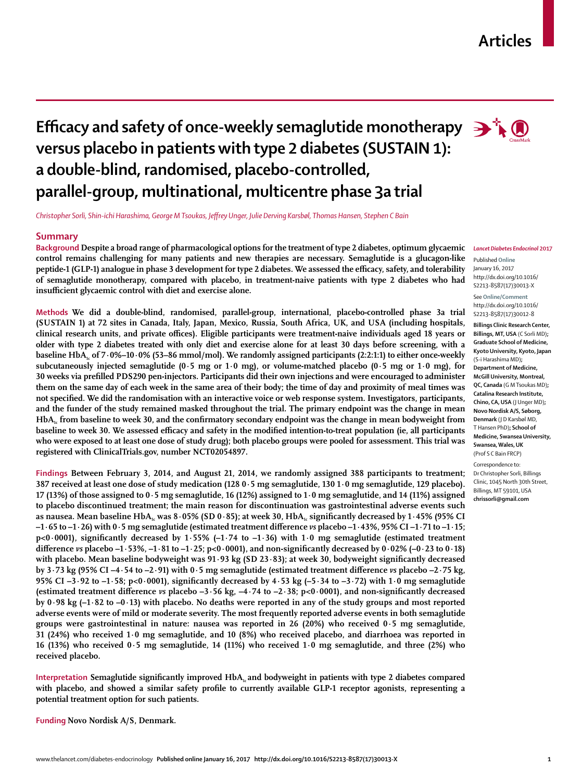# **Articles**

# **Efficacy and safety of once-weekly semaglutide monotherapy**  $\Rightarrow$ **versus placebo in patients with type 2 diabetes (SUSTAIN 1): a double-blind, randomised, placebo-controlled, parallel-group, multinational, multicentre phase 3a trial**



*Christopher Sorli, Shin-ichi Harashima, George M Tsoukas, Jeff rey Unger, Julie Derving Karsbøl, Thomas Hansen, Stephen C Bain*

# **Summary**

**Background Despite a broad range of pharmacological options for the treatment of type 2 diabetes, optimum glycaemic**  *Lancet Diabetes Endocrinol* **2017 control remains challenging for many patients and new therapies are necessary. Semaglutide is a glucagon-like**  peptide-1 (GLP-1) analogue in phase 3 development for type 2 diabetes. We assessed the efficacy, safety, and tolerability **of semaglutide monotherapy, compared with placebo, in treatment-naive patients with type 2 diabetes who had**  insufficient glycaemic control with diet and exercise alone.

**Methods We did a double-blind, randomised, parallel-group, international, placebo-controlled phase 3a trial (SUSTAIN 1) at 72 sites in Canada, Italy, Japan, Mexico, Russia, South Africa, UK, and USA (including hospitals,**  clinical research units, and private offices). Eligible participants were treatment-naive individuals aged 18 years or **older with type 2 diabetes treated with only diet and exercise alone for at least 30 days before screening, with a baseline HbA<sub>1c</sub> of 7·0%–10·0% (53–86 mmol/mol). We randomly assigned participants (2:2:1:1) to either once-weekly subcutaneously injected semaglutide (0·5 mg or 1·0 mg), or volume-matched placebo (0·5 mg or 1·0 mg), for 30 weeks via prefi lled PDS290 pen-injectors. Participants did their own injections and were encouraged to administer them on the same day of each week in the same area of their body; the time of day and proximity of meal times was**  not specified. We did the randomisation with an interactive voice or web response system. Investigators, participants, **and the funder of the study remained masked throughout the trial. The primary endpoint was the change in mean**  HbA<sub>1c</sub> from baseline to week 30, and the confirmatory secondary endpoint was the change in mean bodyweight from baseline to week 30. We assessed efficacy and safety in the modified intention-to-treat population (ie, all participants **who were exposed to at least one dose of study drug); both placebo groups were pooled for assessment. This trial was registered with ClinicalTrials.gov, number NCT02054897.**

**Findings Between February 3, 2014, and August 21, 2014, we randomly assigned 388 participants to treatment; 387 received at least one dose of study medication (128 0·5 mg semaglutide, 130 1·0 mg semaglutide, 129 placebo). 17 (13%) of those assigned to 0·5 mg semaglutide, 16 (12%) assigned to 1·0 mg semaglutide, and 14 (11%) assigned to placebo discontinued treatment; the main reason for discontinuation was gastrointestinal adverse events such**  as nausea. Mean baseline HbA<sub>1c</sub> was 8 · 05% (SD 0 · 85); at week 30, HbA<sub>1c</sub> significantly decreased by 1 · 45% (95% CI **–1·65 to –1·26) with 0·5 mg semaglutide (estimated treatment diff erence** *vs* **placebo –1·43%, 95% CI –1·71 to –1·15;**   $p<0.0001$ ), significantly decreased by 1.55% ( $-1.74$  to  $-1.36$ ) with 1.0 mg semaglutide (estimated treatment difference *vs* placebo –1·53%, –1·81 to –1·25; p<0·0001), and non-significantly decreased by  $0.02\%$  (–0·23 to 0·18) with placebo. Mean baseline bodyweight was 91.93 kg (SD 23.83); at week 30, bodyweight significantly decreased **by 3·73 kg (95% CI –4·54 to –2·91) with 0·5 mg semaglutide (estimated treatment difference** *vs* **placebo –2·75 kg, 95% CI –3·92 to –1·58; p<0·0001), signifi cantly decreased by 4·53 kg (–5·34 to –3·72) with 1·0 mg semaglutide**  (estimated treatment difference  $\nu s$  placebo  $-3.56$  kg,  $-4.74$  to  $-2.38$ ;  $p<0.0001$ ), and non-significantly decreased **by 0·98 kg (–1·82 to –0·13) with placebo. No deaths were reported in any of the study groups and most reported adverse events were of mild or moderate severity. The most frequently reported adverse events in both semaglutide groups were gastrointestinal in nature: nausea was reported in 26 (20%) who received 0·5 mg semaglutide, 31 (24%) who received 1·0 mg semaglutide, and 10 (8%) who received placebo, and diarrhoea was reported in 16 (13%) who received 0·5 mg semaglutide, 14 (11%) who received 1·0 mg semaglutide, and three (2%) who received placebo.**

Interpretation Semaglutide significantly improved HbA<sub>1</sub>, and bodyweight in patients with type 2 diabetes compared with placebo, and showed a similar safety profile to currently available GLP-1 receptor agonists, representing a **potential treatment option for such patients.**

**Funding Novo Nordisk A/S, Denmark.**

Published **Online** January 16, 2017 http://dx.doi.org/10.1016/ S2213-8587(17)30013-X See **Online/Comment** http://dx.doi.org/10.1016/ S2213-8587(17)30012-8

**Billings Clinic Research Center, Billings, MT, USA** (C Sorli MD)**; Graduate School of Medicine, Kyoto University, Kyoto, Japan**  (S-i Harashima MD)**; Department of Medicine, McGill University, Montreal, QC, Canada** (G M Tsoukas MD)**; Catalina Research Institute, Chino, CA, USA** (J Unger MD)**; Novo Nordisk A/S, Søborg, Denmark** (J D Karsbøl MD, T Hansen PhD)**; School of Medicine, Swansea University, Swansea, Wales, UK**  (Prof S C Bain FRCP)

Correspondence to: Dr Christopher Sorli, Billings Clinic, 1045 North 30th Street, Billings, MT 59101, USA

**chrissorli@gmail.com**

www.thelancet.com/diabetes-endocrinology **Published online January 16, 2017 http://dx.doi.org/10.1016/S2213-8587(17)30013-X 1**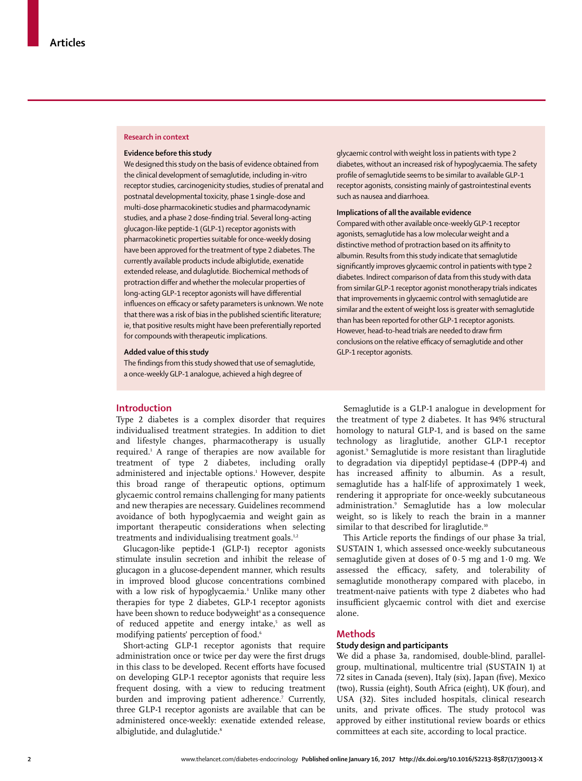#### **Research in context**

#### **Evidence before this study**

We designed this study on the basis of evidence obtained from the clinical development of semaglutide, including in-vitro receptor studies, carcinogenicity studies, studies of prenatal and postnatal developmental toxicity, phase 1 single-dose and multi-dose pharmacokinetic studies and pharmacodynamic studies, and a phase 2 dose-finding trial. Several long-acting glucagon-like peptide-1 (GLP-1) receptor agonists with pharmacokinetic properties suitable for once-weekly dosing have been approved for the treatment of type 2 diabetes. The currently available products include albiglutide, exenatide extended release, and dulaglutide. Biochemical methods of protraction differ and whether the molecular properties of long-acting GLP-1 receptor agonists will have differential influences on efficacy or safety parameters is unknown. We note that there was a risk of bias in the published scientific literature; ie, that positive results might have been preferentially reported for compounds with therapeutic implications.

#### **Added value of this study**

The findings from this study showed that use of semaglutide, a once-weekly GLP-1 analogue, achieved a high degree of

**Introduction**

Type 2 diabetes is a complex disorder that requires individualised treatment strategies. In addition to diet and lifestyle changes, pharmacotherapy is usually required.1 A range of therapies are now available for treatment of type 2 diabetes, including orally administered and injectable options.1 However, despite this broad range of therapeutic options, optimum glycaemic control remains challenging for many patients and new therapies are necessary. Guidelines recommend avoidance of both hypoglycaemia and weight gain as important therapeutic considerations when selecting treatments and individualising treatment goals.<sup>1,2</sup>

Glucagon-like peptide-1 (GLP-1) receptor agonists stimulate insulin secretion and inhibit the release of glucagon in a glucose-dependent manner, which results in improved blood glucose concentrations combined with a low risk of hypoglycaemia.3 Unlike many other therapies for type 2 diabetes, GLP-1 receptor agonists have been shown to reduce bodyweight<sup>4</sup> as a consequence of reduced appetite and energy intake,<sup>5</sup> as well as modifying patients' perception of food.<sup>6</sup>

Short-acting GLP-1 receptor agonists that require administration once or twice per day were the first drugs in this class to be developed. Recent efforts have focused on developing GLP-1 receptor agonists that require less frequent dosing, with a view to reducing treatment burden and improving patient adherence.<sup>7</sup> Currently, three GLP-1 receptor agonists are available that can be administered once-weekly: exenatide extended release, albiglutide, and dulaglutide.<sup>8</sup>

glycaemic control with weight loss in patients with type 2 diabetes, without an increased risk of hypoglycaemia. The safety profile of semaglutide seems to be similar to available GLP-1 receptor agonists, consisting mainly of gastrointestinal events such as nausea and diarrhoea.

#### **Implications of all the available evidence**

Compared with other available once-weekly GLP-1 receptor agonists, semaglutide has a low molecular weight and a distinctive method of protraction based on its affinity to albumin. Results from this study indicate that semaglutide significantly improves glycaemic control in patients with type 2 diabetes. Indirect comparison of data from this study with data from similar GLP-1 receptor agonist monotherapy trials indicates that improvements in glycaemic control with semaglutide are similar and the extent of weight loss is greater with semaglutide than has been reported for other GLP-1 receptor agonists. However, head-to-head trials are needed to draw firm conclusions on the relative efficacy of semaglutide and other GLP-1 receptor agonists.

Semaglutide is a GLP-1 analogue in development for the treatment of type 2 diabetes. It has 94% structural homology to natural GLP-1, and is based on the same technology as liraglutide, another GLP-1 receptor agonist.9 Semaglutide is more resistant than liraglutide to degradation via dipeptidyl peptidase-4 (DPP-4) and has increased affinity to albumin. As a result, semaglutide has a half-life of approximately 1 week, rendering it appropriate for once-weekly subcutaneous administration.<sup>9</sup> Semaglutide has a low molecular weight, so is likely to reach the brain in a manner similar to that described for liraglutide.<sup>10</sup>

This Article reports the findings of our phase 3a trial, SUSTAIN 1, which assessed once-weekly subcutaneous semaglutide given at doses of 0·5 mg and 1·0 mg. We assessed the efficacy, safety, and tolerability of semaglutide monotherapy compared with placebo, in treatment-naive patients with type 2 diabetes who had insufficient glycaemic control with diet and exercise alone.

# **Methods**

# **Study design and participants**

We did a phase 3a, randomised, double-blind, parallelgroup, multinational, multicentre trial (SUSTAIN 1) at 72 sites in Canada (seven), Italy (six), Japan (five), Mexico (two), Russia (eight), South Africa (eight), UK (four), and USA (32). Sites included hospitals, clinical research units, and private offices. The study protocol was approved by either institutional review boards or ethics committees at each site, according to local practice.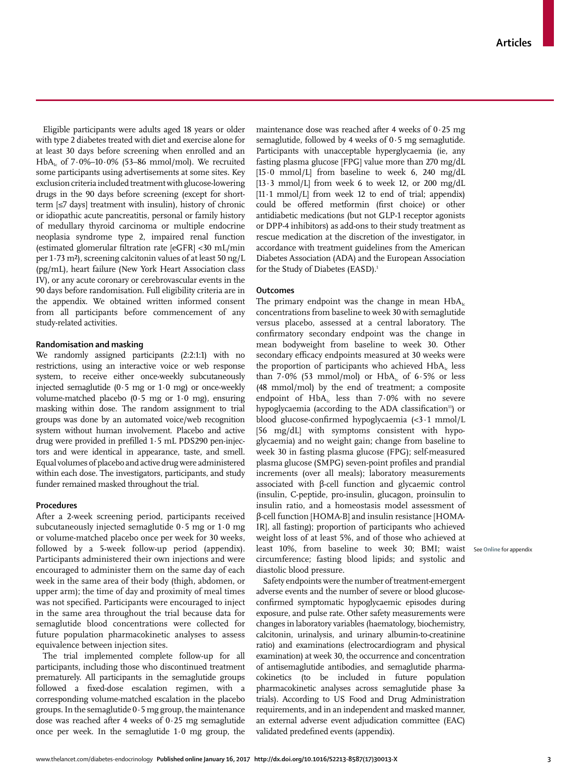Eligible participants were adults aged 18 years or older with type 2 diabetes treated with diet and exercise alone for at least 30 days before screening when enrolled and an HbA<sub>1c</sub> of  $7.0\%$ –10 $.0\%$  (53–86 mmol/mol). We recruited some participants using advertisements at some sites. Key exclusion criteria included treatment with glucose-lowering drugs in the 90 days before screening (except for shortterm [≤7 days] treatment with insulin), history of chronic or idiopathic acute pancreatitis, personal or family history of medullary thyroid carcinoma or multiple endocrine neoplasia syndrome type 2, impaired renal function (estimated glomerular filtration rate  $[eGFR] < 30$  mL/min per 1·73 m²), screening calcitonin values of at least 50 ng/L (pg/mL), heart failure (New York Heart Association class IV), or any acute coronary or cerebrovascular events in the 90 days before randomisation. Full eligibility criteria are in the appendix. We obtained written informed consent from all participants before commencement of any study-related activities.

### **Randomisation and masking**

We randomly assigned participants (2:2:1:1) with no restrictions, using an interactive voice or web response system, to receive either once-weekly subcutaneously injected semaglutide  $(0.5 \text{ mg or } 1.0 \text{ mg})$  or once-weekly volume-matched placebo (0·5 mg or 1·0 mg), ensuring masking within dose. The random assignment to trial groups was done by an automated voice/web recognition system without human involvement. Placebo and active drug were provided in prefilled 1.5 mL PDS290 pen-injectors and were identical in appearance, taste, and smell. Equal volumes of placebo and active drug were administered within each dose. The investigators, participants, and study funder remained masked throughout the trial.

### **Procedures**

After a 2-week screening period, participants received subcutaneously injected semaglutide 0·5 mg or 1·0 mg or volume-matched placebo once per week for 30 weeks, followed by a 5-week follow-up period (appendix). Participants administered their own injections and were encouraged to administer them on the same day of each week in the same area of their body (thigh, abdomen, or upper arm); the time of day and proximity of meal times was not specified. Participants were encouraged to inject in the same area throughout the trial because data for semaglutide blood concentrations were collected for future population pharmacokinetic analyses to assess equivalence between injection sites.

The trial implemented complete follow-up for all participants, including those who discontinued treatment prematurely. All participants in the semaglutide groups followed a fixed-dose escalation regimen, with a corresponding volume-matched escalation in the placebo groups. In the semaglutide  $0.5$  mg group, the maintenance dose was reached after 4 weeks of  $0.25$  mg semaglutide once per week. In the semaglutide 1·0 mg group, the maintenance dose was reached after 4 weeks of 0·25 mg semaglutide, followed by 4 weeks of 0·5 mg semaglutide. Participants with unacceptable hyperglycaemia (ie, any fasting plasma glucose [FPG] value more than 270 mg/dL [15·0 mmol/L] from baseline to week 6, 240 mg/dL  $[13.3 \text{ mmol/L}]$  from week 6 to week 12, or 200 mg/dL [11·1 mmol/L] from week 12 to end of trial; appendix) could be offered metformin (first choice) or other antidiabetic medications (but not GLP-1 receptor agonists or DPP-4 inhibitors) as add-ons to their study treatment as rescue medication at the discretion of the investigator, in accordance with treatment guidelines from the American Diabetes Association (ADA) and the European Association for the Study of Diabetes (EASD).<sup>1</sup>

#### **Outcomes**

The primary endpoint was the change in mean  $HbA<sub>c</sub>$ concentrations from baseline to week 30 with semaglutide versus placebo, assessed at a central laboratory. The confirmatory secondary endpoint was the change in mean bodyweight from baseline to week 30. Other secondary efficacy endpoints measured at 30 weeks were the proportion of participants who achieved  $HbA<sub>i</sub>$  less than  $7.0\%$  (53 mmol/mol) or HbA<sub>1c</sub> of  $6.5\%$  or less (48 mmol/mol) by the end of treatment; a composite endpoint of  $HbA<sub>1c</sub>$  less than 7.0% with no severe hypoglycaemia (according to the ADA classification<sup>11</sup>) or blood glucose-confirmed hypoglycaemia  $\langle$ <3·1 mmol/L [56 mg/dL] with symptoms consistent with hypoglycaemia) and no weight gain; change from baseline to week 30 in fasting plasma glucose (FPG); self-measured plasma glucose (SMPG) seven-point profiles and prandial increments (over all meals); laboratory measurements associated with β-cell function and glycaemic control (insulin, C-peptide, pro-insulin, glucagon, proinsulin to insulin ratio, and a homeostasis model assessment of β-cell function [HOMA-B] and insulin resistance [HOMA-IR], all fasting); proportion of participants who achieved weight loss of at least 5%, and of those who achieved at least 10%, from baseline to week 30; BMI; waist circumference; fasting blood lipids; and systolic and diastolic blood pressure.

Safety endpoints were the number of treatment-emergent adverse events and the number of severe or blood glucoseconfirmed symptomatic hypoglycaemic episodes during exposure, and pulse rate. Other safety measurements were changes in laboratory variables (haematology, biochemistry, calcitonin, urinalysis, and urinary albumin-to-creatinine ratio) and examinations (electrocardiogram and physical examination) at week 30, the occurrence and concentration of antisemaglutide antibodies, and semaglutide pharmacokinetics (to be included in future population pharmacokinetic analyses across semaglutide phase 3a trials). According to US Food and Drug Administration requirements, and in an independent and masked manner, an external adverse event adjudication committee (EAC) validated predefined events (appendix).

See **Online** for appendix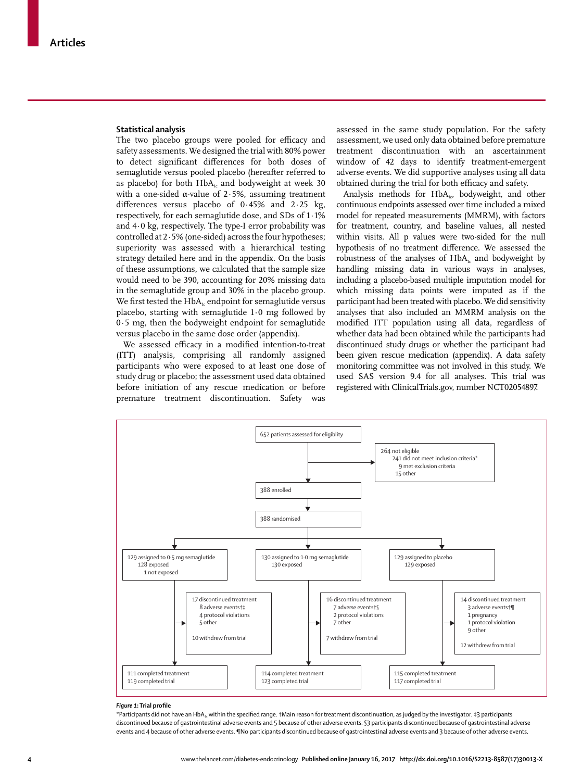#### **Statistical analysis**

The two placebo groups were pooled for efficacy and safety assessments. We designed the trial with 80% power to detect significant differences for both doses of semaglutide versus pooled placebo (hereafter referred to as placebo) for both  $HbA<sub>1c</sub>$  and bodyweight at week 30 with a one-sided α-value of 2·5%, assuming treatment differences versus placebo of  $0.45\%$  and  $2.25$  kg, respectively, for each semaglutide dose, and SDs of 1·1% and 4·0 kg, respectively. The type-I error probability was controlled at 2·5% (one-sided) across the four hypotheses; superiority was assessed with a hierarchical testing strategy detailed here and in the appendix. On the basis of these assumptions, we calculated that the sample size would need to be 390, accounting for 20% missing data in the semaglutide group and 30% in the placebo group. We first tested the  $HbA<sub>i</sub>$  endpoint for semaglutide versus placebo, starting with semaglutide 1·0 mg followed by 0·5 mg, then the bodyweight endpoint for semaglutide versus placebo in the same dose order (appendix).

We assessed efficacy in a modified intention-to-treat (ITT) analysis, comprising all randomly assigned participants who were exposed to at least one dose of study drug or placebo; the assessment used data obtained before initiation of any rescue medication or before premature treatment discontinuation. Safety was assessed in the same study population. For the safety assessment, we used only data obtained before premature treatment discontinuation with an ascertainment window of 42 days to identify treatment-emergent adverse events. We did supportive analyses using all data obtained during the trial for both efficacy and safety.

Analysis methods for  $HbA_{1c}$ , bodyweight, and other continuous endpoints assessed over time included a mixed model for repeated measurements (MMRM), with factors for treatment, country, and baseline values, all nested within visits. All p values were two-sided for the null hypothesis of no treatment difference. We assessed the robustness of the analyses of  $HbA<sub>i</sub>$  and bodyweight by handling missing data in various ways in analyses, including a placebo-based multiple imputation model for which missing data points were imputed as if the participant had been treated with placebo. We did sensitivity analyses that also included an MMRM analysis on the modified ITT population using all data, regardless of whether data had been obtained while the participants had discontinued study drugs or whether the participant had been given rescue medication (appendix). A data safety monitoring committee was not involved in this study. We used SAS version 9.4 for all analyses. This trial was registered with ClinicalTrials.gov, number NCT02054897.



#### *Figure 1***: Trial profi le**

\*Participants did not have an HbA<sub>1</sub>, within the specified range. †Main reason for treatment discontinuation, as judged by the investigator. ‡3 participants discontinued because of gastrointestinal adverse events and 5 because of other adverse events. §3 participants discontinued because of gastrointestinal adverse events and 4 because of other adverse events. ¶No participants discontinued because of gastrointestinal adverse events and 3 because of other adverse events.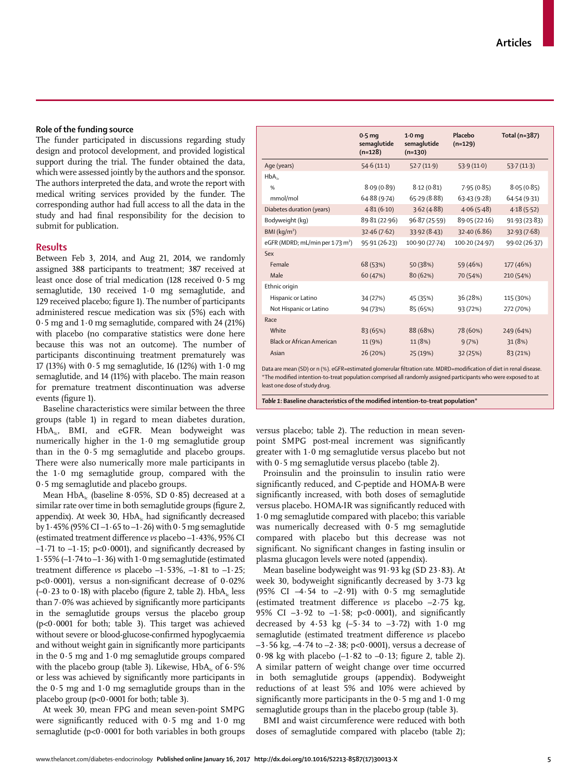**Total (n=387)**

#### www.thelancet.com/diabetes-endocrinology **Published online January 16, 2017 http://dx.doi.org/10.1016/S2213-8587(17)30013-X 5**

# **Role of the funding source**

The funder participated in discussions regarding study design and protocol development, and provided logistical support during the trial. The funder obtained the data, which were assessed jointly by the authors and the sponsor. The authors interpreted the data, and wrote the report with medical writing services provided by the funder. The corresponding author had full access to all the data in the study and had final responsibility for the decision to submit for publication.

# **Results**

Between Feb 3, 2014, and Aug 21, 2014, we randomly assigned 388 participants to treatment; 387 received at least once dose of trial medication (128 received 0·5 mg semaglutide, 130 received 1·0 mg semaglutide, and 129 received placebo; figure 1). The number of participants administered rescue medication was six (5%) each with 0·5 mg and 1·0 mg semaglutide, compared with 24 (21%) with placebo (no comparative statistics were done here because this was not an outcome). The number of participants discontinuing treatment prematurely was 17 (13%) with 0·5 mg semaglutide, 16 (12%) with 1·0 mg semaglutide, and 14 (11%) with placebo. The main reason for premature treatment discontinuation was adverse events (figure 1).

Baseline characteristics were similar between the three groups (table 1) in regard to mean diabetes duration, HbA<sub>1c</sub>, BMI, and eGFR. Mean bodyweight was numerically higher in the 1·0 mg semaglutide group than in the 0·5 mg semaglutide and placebo groups. There were also numerically more male participants in the 1·0 mg semaglutide group, compared with the 0·5 mg semaglutide and placebo groups.

Mean  $HbA<sub>1c</sub>$  (baseline  $8.05\%$ , SD  $0.85$ ) decreased at a similar rate over time in both semaglutide groups (figure 2, appendix). At week 30,  $HbA<sub>1c</sub>$  had significantly decreased by 1·45% (95% CI –1·65 to –1·26) with 0·5 mg semaglutide (estimated treatment difference *vs* placebo -1.43%, 95% CI  $-1.71$  to  $-1.15$ ; p<0.0001), and significantly decreased by 1 $\cdot$  55% (-1 $\cdot$ 74 to -1 $\cdot$ 36) with 1 $\cdot$ 0 mg semaglutide (estimated treatment difference *vs* placebo  $-1.53\%$ ,  $-1.81$  to  $-1.25$ ; p<0.0001), versus a non-significant decrease of  $0.02\%$  $(-0.23 \text{ to } 0.18)$  with placebo (figure 2, table 2). HbA<sub>10</sub> less than  $7.0\%$  was achieved by significantly more participants in the semaglutide groups versus the placebo group (p<0·0001 for both; table 3). This target was achieved without severe or blood-glucose-confirmed hypoglycaemia and without weight gain in significantly more participants in the  $0.5$  mg and  $1.0$  mg semaglutide groups compared with the placebo group (table 3). Likewise,  $HbA<sub>1c</sub>$  of  $6.5%$ or less was achieved by significantly more participants in the 0·5 mg and 1·0 mg semaglutide groups than in the placebo group (p<0·0001 for both; table 3).

At week 30, mean FPG and mean seven-point SMPG were significantly reduced with  $0.5$  mg and  $1.0$  mg semaglutide  $(p<0.0001$  for both variables in both groups

|                                              | $0.5$ mg<br>semaglutide<br>$(n=128)$ | $1.0$ mg<br>semaglutide<br>$(n=130)$ | Placebo<br>$(n=129)$ | Total (n=387) |
|----------------------------------------------|--------------------------------------|--------------------------------------|----------------------|---------------|
| Age (years)                                  | 54.6(11.1)                           | 52.7(11.9)                           | 53.9(11.0)           | 53.7(11.3)    |
| $HbA_{1c}$                                   |                                      |                                      |                      |               |
| $\frac{0}{0}$                                | 8.09(0.89)                           | 8.12(0.81)                           | 7.95(0.85)           | 8.05(0.85)    |
| mmol/mol                                     | 64.88 (9.74)                         | 65.29(8.88)                          | 63.43 (9.28)         | 64.54 (9.31)  |
| Diabetes duration (years)                    | 4.81(6.10)                           | 3.62(4.88)                           | 4.06(5.48)           | 4.18(5.52)    |
| Bodyweight (kg)                              | 89.81 (22.96)                        | 96.87(25.59)                         | 89.05 (22.16)        | 91.93 (23.83) |
| BMl (kg/m <sup>2</sup> )                     | 32.46(7.62)                          | 33.92(8.43)                          | 32.40(6.86)          | 32.93(7.68)   |
| eGFR (MDRD; mL/min per 1.73 m <sup>2</sup> ) | 95.91(26.23)                         | 100.90 (27.74)                       | 100.20 (24.97)       | 99.02 (26.37) |
| Sex                                          |                                      |                                      |                      |               |
| Female                                       | 68 (53%)                             | 50 (38%)                             | 59 (46%)             | 177 (46%)     |
| Male                                         | 60 (47%)                             | 80 (62%)                             | 70 (54%)             | 210 (54%)     |
| Ethnic origin                                |                                      |                                      |                      |               |
| Hispanic or Latino                           | 34 (27%)                             | 45 (35%)                             | 36 (28%)             | 115 (30%)     |
| Not Hispanic or Latino                       | 94 (73%)                             | 85 (65%)                             | 93 (72%)             | 272 (70%)     |
| Race                                         |                                      |                                      |                      |               |
| White                                        | 83 (65%)                             | 88 (68%)                             | 78 (60%)             | 249 (64%)     |
| <b>Black or African American</b>             | 11 (9%)                              | 11 (8%)                              | 9(7%)                | 31(8%)        |
| Asian                                        | 26 (20%)                             | 25 (19%)                             | 32 (25%)             | 83 (21%)      |

Data are mean (SD) or n (%). eGFR=estimated glomerular filtration rate. MDRD=modification of diet in renal disease. \*The modifi ed intention-to-treat population comprised all randomly assigned participants who were exposed to at least one dose of study drug.

Table 1: Baseline characteristics of the modified intention-to-treat population<sup>\*</sup>

versus placebo; table 2). The reduction in mean sevenpoint SMPG post-meal increment was significantly greater with 1·0 mg semaglutide versus placebo but not with 0·5 mg semaglutide versus placebo (table 2).

Proinsulin and the proinsulin to insulin ratio were significantly reduced, and C-peptide and HOMA-B were significantly increased, with both doses of semaglutide versus placebo. HOMA-IR was significantly reduced with 1·0 mg semaglutide compared with placebo; this variable was numerically decreased with 0·5 mg semaglutide compared with placebo but this decrease was not significant. No significant changes in fasting insulin or plasma glucagon levels were noted (appendix).

Mean baseline bodyweight was 91·93 kg (SD 23·83). At week 30, bodyweight significantly decreased by 3.73 kg (95% CI  $-4.54$  to  $-2.91$ ) with 0.5 mg semaglutide (estimated treatment difference *vs* placebo -2.75 kg, 95% CI  $-3.92$  to  $-1.58$ ; p<0.0001), and significantly decreased by 4**·**53 kg (–5·34 to –3·72) with 1·0 mg semaglutide (estimated treatment difference *vs* placebo  $-3.56$  kg,  $-4.74$  to  $-2.38$ ; p<0.0001), versus a decrease of  $0.98$  kg with placebo  $(-1.82$  to  $-0.13$ ; figure 2, table 2). A similar pattern of weight change over time occurred in both semaglutide groups (appendix). Bodyweight reductions of at least 5% and 10% were achieved by significantly more participants in the  $0.5$  mg and  $1.0$  mg semaglutide groups than in the placebo group (table 3).

BMI and waist circumference were reduced with both doses of semaglutide compared with placebo (table 2);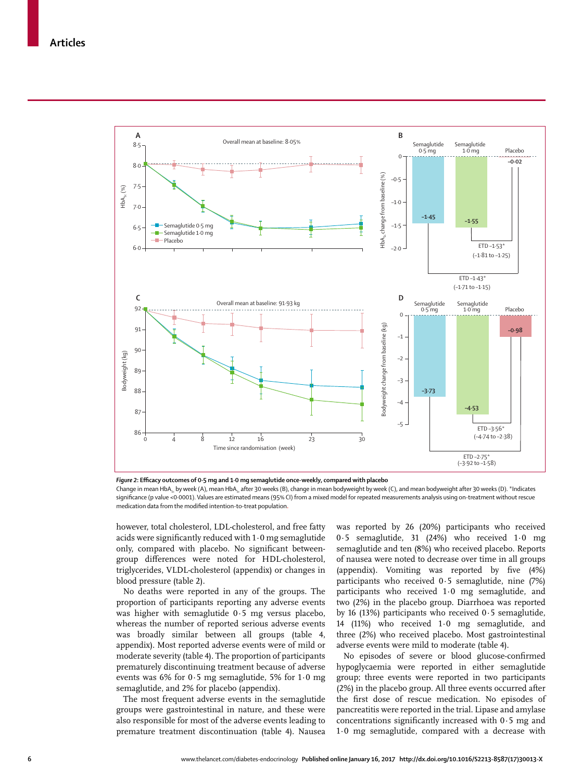

*Figure 2***: Effi cacy outcomes of 0·5 mg and 1·0 mg semaglutide once-weekly, compared with placebo**

Change in mean HbA<sub>1c</sub> by week (A), mean HbA<sub>1c</sub> after 30 weeks (B), change in mean bodyweight by week (C), and mean bodyweight after 30 weeks (D). \*Indicates significance (p value <0·0001). Values are estimated means (95% CI) from a mixed model for repeated measurements analysis using on-treatment without rescue medication data from the modified intention-to-treat population.

however, total cholesterol, LDL-cholesterol, and free fatty acids were significantly reduced with  $1.0$  mg semaglutide only, compared with placebo. No significant betweengroup differences were noted for HDL-cholesterol, triglycerides, VLDL-cholesterol (appendix) or changes in blood pressure (table 2).

No deaths were reported in any of the groups. The proportion of participants reporting any adverse events was higher with semaglutide 0·5 mg versus placebo, whereas the number of reported serious adverse events was broadly similar between all groups (table 4, appendix). Most reported adverse events were of mild or moderate severity (table 4). The proportion of participants prematurely discontinuing treatment because of adverse events was 6% for 0·5 mg semaglutide, 5% for 1·0 mg semaglutide, and 2% for placebo (appendix).

The most frequent adverse events in the semaglutide groups were gastrointestinal in nature, and these were also responsible for most of the adverse events leading to premature treatment discontinuation (table 4). Nausea was reported by 26 (20%) participants who received  $0.5$  semaglutide, 31 (24%) who received  $1.0$  mg semaglutide and ten (8%) who received placebo. Reports of nausea were noted to decrease over time in all groups (appendix). Vomiting was reported by five  $(4%)$ participants who received 0·5 semaglutide, nine (7%) participants who received 1·0 mg semaglutide, and two (2%) in the placebo group. Diarrhoea was reported by 16 (13%) participants who received 0·5 semaglutide, 14 (11%) who received 1.0 mg semaglutide, and three (2%) who received placebo. Most gastrointestinal adverse events were mild to moderate (table 4).

No episodes of severe or blood glucose-confirmed hypoglycaemia were reported in either semaglutide group; three events were reported in two participants (2%) in the placebo group. All three events occurred after the first dose of rescue medication. No episodes of pancreatitis were reported in the trial. Lipase and amylase concentrations significantly increased with  $0.5$  mg and 1·0 mg semaglutide, compared with a decrease with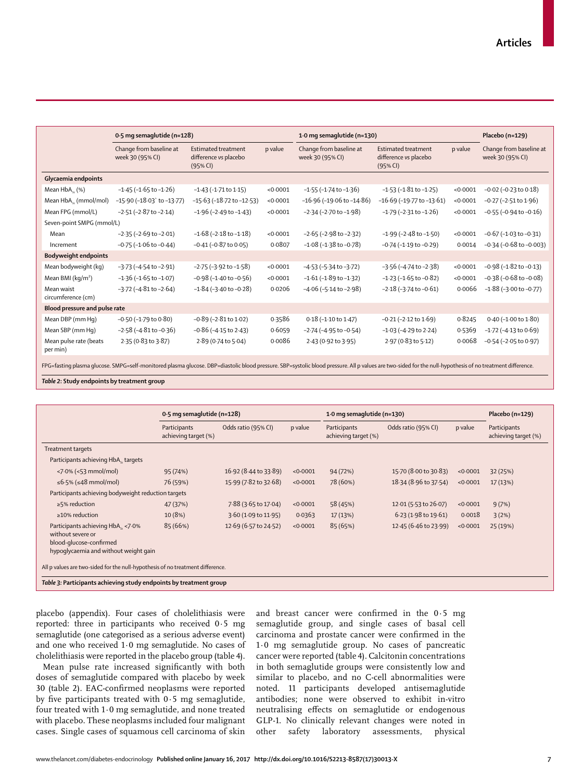|                                    | 0.5 mg semaglutide (n=128)                  |                                                                 |          | 1.0 mg semaglutide (n=130)                  | Placebo (n=129)                                                 |          |                                             |  |  |
|------------------------------------|---------------------------------------------|-----------------------------------------------------------------|----------|---------------------------------------------|-----------------------------------------------------------------|----------|---------------------------------------------|--|--|
|                                    | Change from baseline at<br>week 30 (95% CI) | <b>Estimated treatment</b><br>difference vs placebo<br>(95% CI) | p value  | Change from baseline at<br>week 30 (95% CI) | <b>Estimated treatment</b><br>difference vs placebo<br>(95% CI) | p value  | Change from baseline at<br>week 30 (95% CI) |  |  |
| Glycaemia endpoints                |                                             |                                                                 |          |                                             |                                                                 |          |                                             |  |  |
| Mean $HbA_{1}$ (%)                 | $-1.45$ ( $-1.65$ to $-1.26$ )              | $-1.43$ ( $-1.71$ to $1.15$ )                                   | < 0.0001 | $-1.55$ ( $-1.74$ to $-1.36$ )              | $-1.53$ ( $-1.81$ to $-1.25$ )                                  | < 0.0001 | $-0.02$ ( $-0.23$ to $0.18$ )               |  |  |
| Mean HbA <sub>1c</sub> (mmol/mol)  | $-15.90$ ( $-18.03$ 'to $-13.77$ )          | $-15.63$ ( $-18.72$ to $-12.53$ )                               | < 0.0001 | $-16.96$ ( $-19.06$ to $-14.86$ )           | $-16.69$ ( $-19.77$ to $-13.61$ )                               | < 0.0001 | $-0.27$ ( $-2.51$ to $1.96$ )               |  |  |
| Mean FPG (mmol/L)                  | $-2.51$ ( $-2.87$ to $-2.14$ )              | $-1.96$ ( $-2.49$ to $-1.43$ )                                  | < 0.0001 | $-2.34$ ( $-2.70$ to $-1.98$ )              | $-1.79$ ( $-2.31$ to $-1.26$ )                                  | < 0.0001 | $-0.55$ ( $-0.94$ to $-0.16$ )              |  |  |
| Seven-point SMPG (mmol/L)          |                                             |                                                                 |          |                                             |                                                                 |          |                                             |  |  |
| Mean                               | $-2.35$ ( $-2.69$ to $-2.01$ )              | $-1.68$ ( $-2.18$ to $-1.18$ )                                  | < 0.0001 | $-2.65$ ( $-2.98$ to $-2.32$ )              | $-1.99$ ( $-2.48$ to $-1.50$ )                                  | < 0.0001 | $-0.67$ ( $-1.03$ to $-0.31$ )              |  |  |
| Increment                          | $-0.75$ ( $-1.06$ to $-0.44$ )              | $-0.41$ ( $-0.87$ to $0.05$ )                                   | 0.0807   | $-1.08$ ( $-1.38$ to $-0.78$ )              | $-0.74$ ( $-1.19$ to $-0.29$ )                                  | 0.0014   | $-0.34$ ( $-0.68$ to $-0.003$ )             |  |  |
| <b>Bodyweight endpoints</b>        |                                             |                                                                 |          |                                             |                                                                 |          |                                             |  |  |
| Mean bodyweight (kg)               | $-3.73$ ( $-4.54$ to $-2.91$ )              | $-2.75$ ( $-3.92$ to $-1.58$ )                                  | < 0.0001 | $-4.53$ ( $-5.34$ to $-3.72$ )              | $-3.56$ ( $-4.74$ to $-2.38$ )                                  | < 0.0001 | $-0.98$ ( $-1.82$ to $-0.13$ )              |  |  |
| Mean BMI ( $kg/m2$ )               | $-1.36$ ( $-1.65$ to $-1.07$ )              | $-0.98$ ( $-1.40$ to $-0.56$ )                                  | < 0.0001 | $-1.61$ ( $-1.89$ to $-1.32$ )              | $-1.23$ ( $-1.65$ to $-0.82$ )                                  | < 0.0001 | $-0.38$ ( $-0.68$ to $-0.08$ )              |  |  |
| Mean waist<br>circumference (cm)   | $-3.72$ ( $-4.81$ to $-2.64$ )              | $-1.84$ ( $-3.40$ to $-0.28$ )                                  | 0.0206   | $-4.06$ ( $-5.14$ to $-2.98$ )              | $-2.18$ ( $-3.74$ to $-0.61$ )                                  | 0.0066   | $-1.88$ ( $-3.00$ to $-0.77$ )              |  |  |
| Blood pressure and pulse rate      |                                             |                                                                 |          |                                             |                                                                 |          |                                             |  |  |
| Mean DBP (mm Hq)                   | $-0.50$ ( $-1.79$ to $0.80$ )               | $-0.89$ ( $-2.81$ to $1.02$ )                                   | 0.3586   | $0.18 (-1.10 to 1.47)$                      | $-0.21$ ( $-2.12$ to $1.69$ )                                   | 0.8245   | $0.40$ (-1.00 to 1.80)                      |  |  |
| Mean SBP (mm Hq)                   | $-2.58$ ( $-4.81$ to $-0.36$ )              | $-0.86$ ( $-4.15$ to 2.43)                                      | 0.6059   | $-2.74$ ( $-4.95$ to $-0.54$ )              | $-1.03$ ( $-4.29$ to $2.24$ )                                   | 0.5369   | $-1.72$ ( $-4.13$ to 0.69)                  |  |  |
| Mean pulse rate (beats<br>per min) | 2.35 (0.83 to 3.87)                         | 2.89 (0.74 to 5.04)                                             | 0.0086   | 2.43 (0.92 to 3.95)                         | 2.97 (0.83 to 5.12)                                             | 0.0068   | $-0.54$ ( $-2.05$ to $0.97$ )               |  |  |

FPG=fasting plasma glucose. SMPG=self-monitored plasma glucose. DBP=diastolic blood pressure. SBP=systolic blood pressure. All p values are two-sided for the null-hypothesis of no treatment difference

#### *Table 2***: Study endpoints by treatment group**

|                                                                                                                                         | 0.5 mg semaglutide (n=128)           |                                 |          | 1.0 mg semaglutide (n=130)           |                       |          | Placebo (n=129)                      |  |
|-----------------------------------------------------------------------------------------------------------------------------------------|--------------------------------------|---------------------------------|----------|--------------------------------------|-----------------------|----------|--------------------------------------|--|
|                                                                                                                                         | Participants<br>achieving target (%) | Odds ratio (95% CI)             | p value  | Participants<br>achieving target (%) | Odds ratio (95% CI)   | p value  | Participants<br>achieving target (%) |  |
| <b>Treatment targets</b>                                                                                                                |                                      |                                 |          |                                      |                       |          |                                      |  |
| Participants achieving HbA, targets                                                                                                     |                                      |                                 |          |                                      |                       |          |                                      |  |
| $<$ 7 $\cdot$ 0% ( $<$ 53 mmol/mol)                                                                                                     | 95 (74%)                             | $16.92(8.44 \text{ to } 33.89)$ | < 0.0001 | 94 (72%)                             | 15.70 (8.00 to 30.83) | < 0.0001 | 32 (25%)                             |  |
| ≤6.5% (≤48 mmol/mol)                                                                                                                    | 76 (59%)                             | 15.99 (7.82 to 32.68)           | < 0.0001 | 78 (60%)                             | 18.34 (8.96 to 37.54) | < 0.0001 | 17(13%)                              |  |
| Participants achieving bodyweight reduction targets                                                                                     |                                      |                                 |          |                                      |                       |          |                                      |  |
| $\geq$ 5% reduction                                                                                                                     | 47 (37%)                             | 7.88 (3.65 to 17.04)            | < 0.0001 | 58 (45%)                             | 12.01 (5.53 to 26.07) | < 0.0001 | 9(7%)                                |  |
| $\geq$ 10% reduction                                                                                                                    | 10(8%)                               | $3.60(1.09 \text{ to } 11.95)$  | 0.0363   | 17 (13%)                             | 6.23 (1.98 to 19.61)  | 0.0018   | 3(2%)                                |  |
| Participants achieving HbA <sub>1c</sub> <7.0%<br>without severe or<br>blood-glucose-confirmed<br>hypoglycaemia and without weight gain | 85 (66%)                             | 12.69 (6.57 to 24.52)           | < 0.0001 | 85 (65%)                             | 12.45 (6.46 to 23.99) | < 0.0001 | 25 (19%)                             |  |
| All p values are two-sided for the null-hypothesis of no treatment difference.                                                          |                                      |                                 |          |                                      |                       |          |                                      |  |

placebo (appendix). Four cases of cholelithiasis were reported: three in participants who received 0·5 mg semaglutide (one categorised as a serious adverse event) and one who received 1·0 mg semaglutide. No cases of cholelithiasis were reported in the placebo group (table 4).

Mean pulse rate increased significantly with both doses of semaglutide compared with placebo by week 30 (table 2). EAC-confirmed neoplasms were reported by five participants treated with  $0.5$  mg semaglutide, four treated with 1·0 mg semaglutide, and none treated with placebo. These neoplasms included four malignant cases. Single cases of squamous cell carcinoma of skin and breast cancer were confirmed in the  $0.5$  mg semaglutide group, and single cases of basal cell carcinoma and prostate cancer were confirmed in the 1·0 mg semaglutide group. No cases of pancreatic cancer were reported (table 4). Calcitonin concentrations in both semaglutide groups were consistently low and similar to placebo, and no C-cell abnormalities were noted. 11 participants developed antisemaglutide antibodies; none were observed to exhibit in-vitro neutralising effects on semaglutide or endogenous GLP-1. No clinically relevant changes were noted in other safety laboratory assessments, physical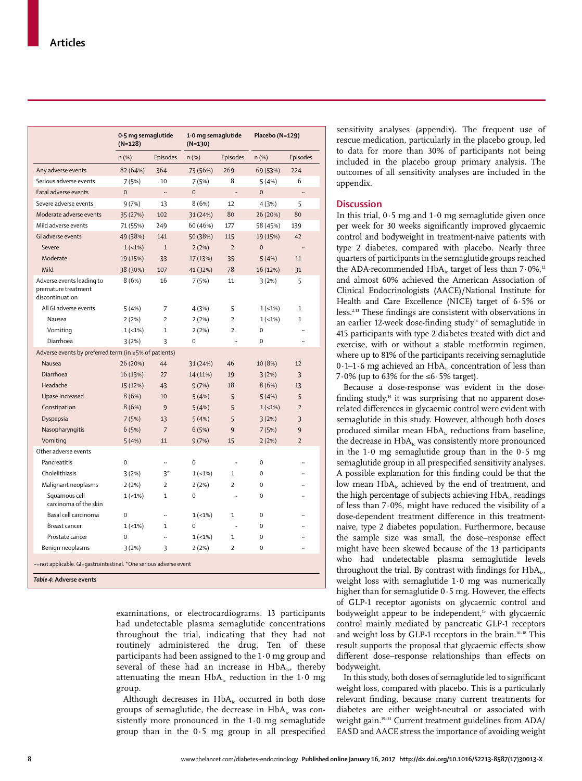|                                                                                               | 0.5 mg semaglutide<br>$(N=128)$ |                      | 1.0 mg semaglutide<br>$(N=130)$ |                      | Placebo (N=129) |                      |  |
|-----------------------------------------------------------------------------------------------|---------------------------------|----------------------|---------------------------------|----------------------|-----------------|----------------------|--|
|                                                                                               | $n$ (%)                         | Episodes             | $n$ (%)                         | Episodes             | $n$ (%)         | Episodes             |  |
| Any adverse events                                                                            | 82 (64%)                        | 364                  | 73 (56%)                        | 269                  | 69 (53%)        | 224                  |  |
| Serious adverse events                                                                        | 7(5%)                           | 10                   | 7(5%)                           | 8                    | 5(4%)           | 6                    |  |
| <b>Fatal adverse events</b>                                                                   | $\Omega$                        | $\ddot{\phantom{a}}$ | $\overline{0}$                  | $\ddot{\phantom{a}}$ | $\overline{0}$  | $\ddotsc$            |  |
| Severe adverse events                                                                         | 9(7%)                           | 13                   | 8(6%)                           | 12                   | 4(3%)           | 5                    |  |
| Moderate adverse events                                                                       | 35 (27%)                        | 102                  | 31(24%)                         | 80                   | 26 (20%)        | 80                   |  |
| Mild adverse events                                                                           | 71 (55%)                        | 249                  | 60 (46%)                        | 177                  | 58 (45%)        | 139                  |  |
| GI adverse events                                                                             | 49 (38%)                        | 141                  | 50 (38%)                        | 115                  | 19 (15%)        | 42                   |  |
| Severe                                                                                        | $1(-1%)$                        | $\mathbf{1}$         | 2(2%)                           | $\overline{2}$       | $\mathbf 0$     | $\ddot{\phantom{a}}$ |  |
| Moderate                                                                                      | 19 (15%)                        | 33                   | 17 (13%)                        | 35                   | 5(4%)           | 11                   |  |
| Mild                                                                                          | 38 (30%)                        | 107                  | 41 (32%)                        | 78                   | 16 (12%)        | 31                   |  |
| Adverse events leading to<br>premature treatment<br>discontinuation                           | 8 (6%)                          | 16                   | 7(5%)                           | 11                   | 3(2%)           | 5                    |  |
| All GI adverse events                                                                         | 5(4%)                           | 7                    | 4 (3%)                          | 5                    | $1(-1%)$        | $\mathbf{1}$         |  |
| Nausea                                                                                        | 2(2%)                           | $\overline{2}$       | 2(2%)                           | $\overline{2}$       | $1(-1%)$        | $\mathbf{1}$         |  |
| Vomiting                                                                                      | $1(-1%)$                        | $\mathbf{1}$         | 2(2%)                           | $\overline{2}$       | $\Omega$        | $\ddot{\phantom{a}}$ |  |
| Diarrhoea                                                                                     | 3(2%)                           | 3                    | $\mathbf 0$                     | $\ddot{\phantom{a}}$ | $\mathbf 0$     |                      |  |
| Adverse events by preferred term (in ≥5% of patients)                                         |                                 |                      |                                 |                      |                 |                      |  |
| Nausea                                                                                        | 26 (20%)                        | 44                   | 31 (24%)                        | 46                   | 10 (8%)         | 12                   |  |
| Diarrhoea                                                                                     | 16 (13%)                        | 27                   | 14 (11%)                        | 19                   | 3(2%)           | 3                    |  |
| Headache                                                                                      | 15 (12%)                        | 43                   | 9(7%)                           | 18                   | 8(6%)           | 13                   |  |
| Lipase increased                                                                              | 8(6%)                           | 10                   | 5(4%)                           | 5                    | 5(4%)           | 5                    |  |
| Constipation                                                                                  | 8(6%)                           | 9                    | 5(4%)                           | 5                    | $1(-1%)$        | $\overline{2}$       |  |
| Dyspepsia                                                                                     | 7(5%)                           | 13                   | 5(4%)                           | 5                    | 3(2%)           | $\overline{3}$       |  |
| Nasopharyngitis                                                                               | 6(5%)                           | $\overline{7}$       | 6(5%)                           | 9                    | 7(5%)           | 9                    |  |
| Vomiting                                                                                      | 5(4%)                           | 11                   | 9(7%)                           | 15                   | 2(2%)           | $\overline{2}$       |  |
| Other adverse events                                                                          |                                 |                      |                                 |                      |                 |                      |  |
| Pancreatitis                                                                                  | 0                               | $\ddotsc$            | 0                               | $\ldots$             | $\Omega$        |                      |  |
| Cholelithiasis                                                                                | 3(2%)                           | $3^*$                | $1(-1%)$                        | $\mathbf{1}$         | 0               |                      |  |
| Malignant neoplasms                                                                           | 2(2%)                           | $\overline{2}$       | 2(2%)                           | $\overline{2}$       | $\overline{0}$  |                      |  |
| Squamous cell<br>carcinoma of the skin                                                        | $1(-1%)$                        | $\mathbf{1}$         | 0                               | $\ddot{\phantom{0}}$ | 0               |                      |  |
| Basal cell carcinoma                                                                          | 0                               | $\ddot{\phantom{a}}$ | $1(-1%)$                        | $\mathbf{1}$         | 0               |                      |  |
| <b>Breast cancer</b>                                                                          | $1(-1%)$                        | 1                    | 0                               | $\ddot{\phantom{a}}$ | $\Omega$        |                      |  |
| Prostate cancer                                                                               | 0                               | $\ddot{\phantom{a}}$ | $1(-1%)$                        | $\mathbf{1}$         | 0               | 44                   |  |
| Benign neoplasms                                                                              | 3(2%)                           | 3                    | 2(2%)                           | $\overline{2}$       | 0               | $\ddot{\phantom{a}}$ |  |
| -- not applicable. GI=gastrointestinal. *One serious adverse event<br>Table 4: Adverse events |                                 |                      |                                 |                      |                 |                      |  |

examinations, or electrocardiograms. 13 participants had undetectable plasma semaglutide concentrations throughout the trial, indicating that they had not routinely administered the drug. Ten of these participants had been assigned to the 1·0 mg group and several of these had an increase in  $HbA<sub>1c</sub>$ , thereby attenuating the mean  $HbA<sub>1c</sub>$  reduction in the 1.0 mg group.

Although decreases in  $HbA_{1c}$  occurred in both dose groups of semaglutide, the decrease in  $HbA<sub>1c</sub>$  was consistently more pronounced in the 1·0 mg semaglutide group than in the  $0.5$  mg group in all prespecified sensitivity analyses (appendix). The frequent use of rescue medication, particularly in the placebo group, led to data for more than 30% of participants not being included in the placebo group primary analysis. The outcomes of all sensitivity analyses are included in the appendix.

# **Discussion**

In this trial, 0·5 mg and 1·0 mg semaglutide given once per week for 30 weeks significantly improved glycaemic control and bodyweight in treatment-naive patients with type 2 diabetes, compared with placebo. Nearly three quarters of participants in the semaglutide groups reached the ADA-recommended HbA<sub>1c</sub> target of less than  $7.0\%$ ,<sup>12</sup> and almost 60% achieved the American Association of Clinical Endocrinologists (AACE)/National Institute for Health and Care Excellence (NICE) target of 6·5% or less.<sup>2,13</sup> These findings are consistent with observations in an earlier 12-week dose-finding study<sup>14</sup> of semaglutide in 415 participants with type 2 diabetes treated with diet and exercise, with or without a stable metformin regimen, where up to 81% of the participants receiving semaglutide  $0.1-1.6$  mg achieved an HbA<sub>1c</sub> concentration of less than 7 $\cdot$  0% (up to 63% for the ≤6 $\cdot$ 5% target).

Because a dose-response was evident in the dosefinding study, $44$  it was surprising that no apparent doserelated differences in glycaemic control were evident with semaglutide in this study. However, although both doses produced similar mean HbA<sub>1c</sub> reductions from baseline, the decrease in  $HbA<sub>1c</sub>$  was consistently more pronounced in the  $1·0$  mg semaglutide group than in the  $0·5$  mg semaglutide group in all prespecified sensitivity analyses. A possible explanation for this finding could be that the low mean  $HbA<sub>i</sub>$  achieved by the end of treatment, and the high percentage of subjects achieving  $HbA_i$  readings of less than 7·0%, might have reduced the visibility of a dose-dependent treatment difference in this treatmentnaive, type 2 diabetes population. Furthermore, because the sample size was small, the dose-response effect might have been skewed because of the 13 participants who had undetectable plasma semaglutide levels throughout the trial. By contrast with findings for  $HbA<sub>i</sub>$ , weight loss with semaglutide 1·0 mg was numerically higher than for semaglutide  $0.5$  mg. However, the effects of GLP-1 receptor agonists on glycaemic control and bodyweight appear to be independent,<sup>15</sup> with glycaemic control mainly mediated by pancreatic GLP-1 receptors and weight loss by GLP-1 receptors in the brain.16–18 This result supports the proposal that glycaemic effects show different dose–response relationships than effects on bodyweight.

In this study, both doses of semaglutide led to significant weight loss, compared with placebo. This is a particularly relevant finding, because many current treatments for diabetes are either weight-neutral or associated with weight gain.<sup>19–21</sup> Current treatment guidelines from ADA/ EASD and AACE stress the importance of avoiding weight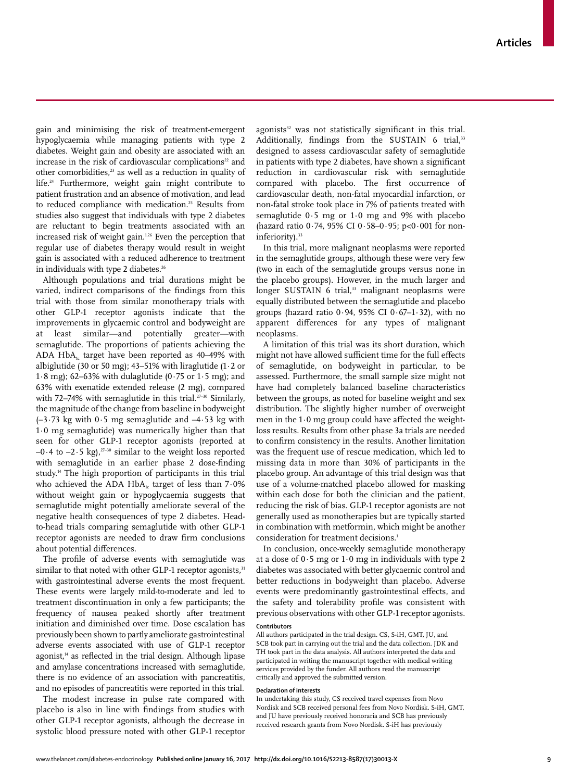gain and minimising the risk of treatment-emergent hypoglycaemia while managing patients with type 2 diabetes. Weight gain and obesity are associated with an increase in the risk of cardiovascular complications<sup>22</sup> and other comorbidities,<sup>23</sup> as well as a reduction in quality of life.24 Furthermore, weight gain might contribute to patient frustration and an absence of motivation, and lead to reduced compliance with medication.<sup>25</sup> Results from studies also suggest that individuals with type 2 diabetes are reluctant to begin treatments associated with an increased risk of weight gain.<sup>1,26</sup> Even the perception that regular use of diabetes therapy would result in weight gain is associated with a reduced adherence to treatment in individuals with type 2 diabetes.<sup>26</sup>

Although populations and trial durations might be varied, indirect comparisons of the findings from this trial with those from similar monotherapy trials with other GLP-1 receptor agonists indicate that the improvements in glycaemic control and bodyweight are at least similar—and potentially greater—with semaglutide. The proportions of patients achieving the ADA  $HbA_1c$  target have been reported as 40–49% with albiglutide (30 or 50 mg); 43-51% with liraglutide (1 $\cdot$ 2 or 1·8 mg); 62–63% with dulaglutide (0·75 or  $1·5$  mg); and 63% with exenatide extended release (2 mg), compared with 72–74% with semaglutide in this trial.<sup> $27-30$ </sup> Similarly, the magnitude of the change from baseline in bodyweight  $(-3.73 \text{ kg with } 0.5 \text{ mg semaglutide and } -4.53 \text{ kg with}$ 1·0 mg semaglutide) was numerically higher than that seen for other GLP-1 receptor agonists (reported at  $-0.4$  to  $-2.5$  kg),  $27-30$  similar to the weight loss reported with semaglutide in an earlier phase 2 dose-finding study.<sup>14</sup> The high proportion of participants in this trial who achieved the ADA HbA<sub>1c</sub> target of less than  $7.0\%$ without weight gain or hypoglycaemia suggests that semaglutide might potentially ameliorate several of the negative health consequences of type 2 diabetes. Headto-head trials comparing semaglutide with other GLP-1 receptor agonists are needed to draw firm conclusions about potential differences.

The profile of adverse events with semaglutide was similar to that noted with other GLP-1 receptor agonists,<sup>31</sup> with gastrointestinal adverse events the most frequent. These events were largely mild-to-moderate and led to treatment discontinuation in only a few participants; the frequency of nausea peaked shortly after treatment initiation and diminished over time. Dose escalation has previously been shown to partly ameliorate gastrointestinal adverse events associated with use of GLP-1 receptor agonist, $14$  as reflected in the trial design. Although lipase and amylase concentrations increased with semaglutide, there is no evidence of an association with pancreatitis, and no episodes of pancreatitis were reported in this trial.

The modest increase in pulse rate compared with placebo is also in line with findings from studies with other GLP-1 receptor agonists, although the decrease in systolic blood pressure noted with other GLP-1 receptor agonists<sup>32</sup> was not statistically significant in this trial. Additionally, findings from the SUSTAIN 6 trial,<sup>33</sup> designed to assess cardiovascular safety of semaglutide in patients with type 2 diabetes, have shown a significant reduction in cardiovascular risk with semaglutide compared with placebo. The first occurrence of cardiovascular death, non-fatal myocardial infarction, or non-fatal stroke took place in 7% of patients treated with semaglutide 0·5 mg or 1·0 mg and 9% with placebo (hazard ratio 0·74, 95% CI 0·58–0·95; p<0·001 for noninferiority).<sup>33</sup>

In this trial, more malignant neoplasms were reported in the semaglutide groups, although these were very few (two in each of the semaglutide groups versus none in the placebo groups). However, in the much larger and longer SUSTAIN 6 trial,<sup>33</sup> malignant neoplasms were equally distributed between the semaglutide and placebo groups (hazard ratio  $0.94$ ,  $95\%$  CI  $0.67-1.32$ ), with no apparent differences for any types of malignant neoplasms.

A limitation of this trial was its short duration, which might not have allowed sufficient time for the full effects of semaglutide, on bodyweight in particular, to be assessed. Furthermore, the small sample size might not have had completely balanced baseline characteristics between the groups, as noted for baseline weight and sex distribution. The slightly higher number of overweight men in the  $1·0$  mg group could have affected the weightloss results. Results from other phase 3a trials are needed to confirm consistency in the results. Another limitation was the frequent use of rescue medication, which led to missing data in more than 30% of participants in the placebo group. An advantage of this trial design was that use of a volume-matched placebo allowed for masking within each dose for both the clinician and the patient, reducing the risk of bias. GLP-1 receptor agonists are not generally used as monotherapies but are typically started in combination with metformin, which might be another consideration for treatment decisions.<sup>1</sup>

In conclusion, once-weekly semaglutide monotherapy at a dose of  $0.5$  mg or  $1.0$  mg in individuals with type 2 diabetes was associated with better glycaemic control and better reductions in bodyweight than placebo. Adverse events were predominantly gastrointestinal effects, and the safety and tolerability profile was consistent with previous observations with other GLP-1 receptor agonists.

#### **Contributors**

All authors participated in the trial design. CS, S-iH, GMT, JU, and SCB took part in carrying out the trial and the data collection. JDK and TH took part in the data analysis. All authors interpreted the data and participated in writing the manuscript together with medical writing services provided by the funder. All authors read the manuscript critically and approved the submitted version.

#### **Declaration of interests**

In undertaking this study, CS received travel expenses from Novo Nordisk and SCB received personal fees from Novo Nordisk. S-iH, GMT, and JU have previously received honoraria and SCB has previously received research grants from Novo Nordisk. S-iH has previously